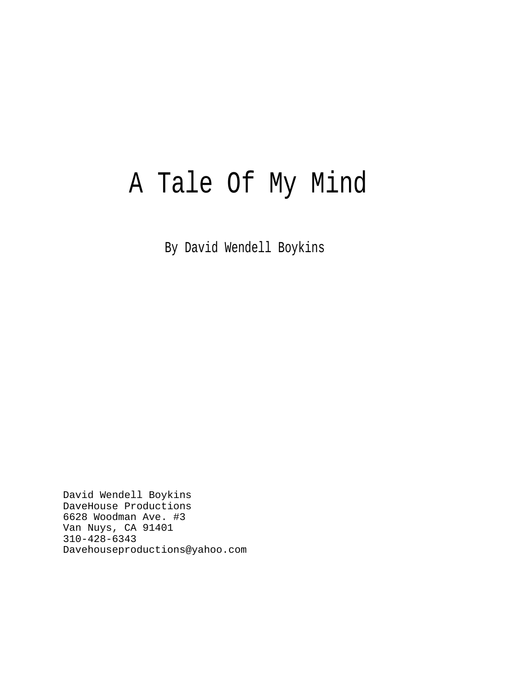# A Tale Of My Mind

By David Wendell Boykins

David Wendell Boykins DaveHouse Productions 6628 Woodman Ave. #3 Van Nuys, CA 91401 310-428-6343 Davehouseproductions@yahoo.com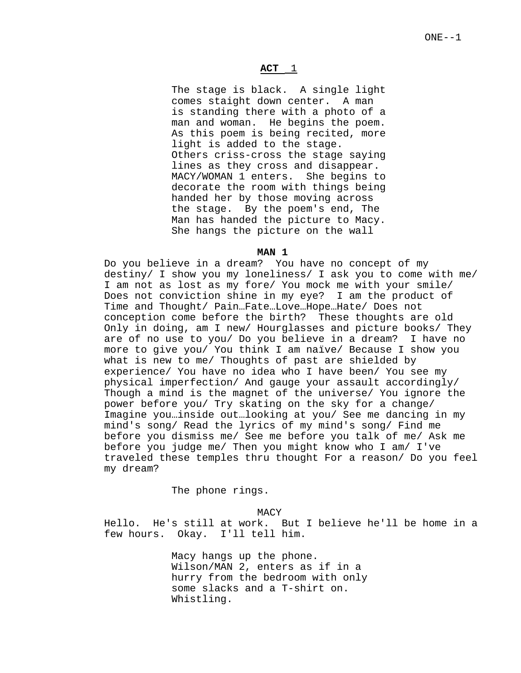# $ACT \_1$

The stage is black. A single light comes staight down center. A man is standing there with a photo of a man and woman. He begins the poem. As this poem is being recited, more light is added to the stage. Others criss-cross the stage saying lines as they cross and disappear. MACY/WOMAN 1 enters. She begins to decorate the room with things being handed her by those moving across the stage. By the poem's end, The Man has handed the picture to Macy. She hangs the picture on the wall

#### **MAN 1**

Do you believe in a dream? You have no concept of my destiny/ I show you my loneliness/ I ask you to come with me/ I am not as lost as my fore/ You mock me with your smile/ Does not conviction shine in my eye? I am the product of Time and Thought/ Pain…Fate…Love…Hope…Hate/ Does not conception come before the birth? These thoughts are old Only in doing, am I new/ Hourglasses and picture books/ They are of no use to you/ Do you believe in a dream? I have no more to give you/ You think I am naïve/ Because I show you what is new to me/ Thoughts of past are shielded by experience/ You have no idea who I have been/ You see my physical imperfection/ And gauge your assault accordingly/ Though a mind is the magnet of the universe/ You ignore the power before you/ Try skating on the sky for a change/ Imagine you…inside out…looking at you/ See me dancing in my mind's song/ Read the lyrics of my mind's song/ Find me before you dismiss me/ See me before you talk of me/ Ask me before you judge me/ Then you might know who I am/ I've traveled these temples thru thought For a reason/ Do you feel my dream?

The phone rings.

MACY

Hello. He's still at work. But I believe he'll be home in a few hours. Okay. I'll tell him.

> Macy hangs up the phone. Wilson/MAN 2, enters as if in a hurry from the bedroom with only some slacks and a T-shirt on. Whistling.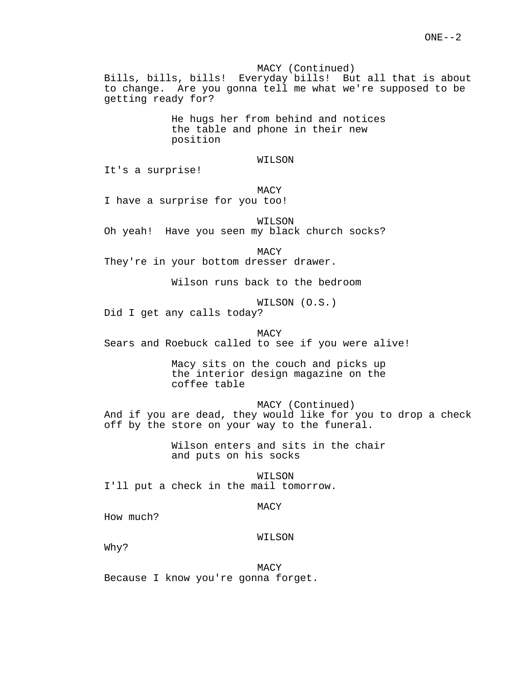MACY (Continued) Bills, bills, bills! Everyday bills! But all that is about to change. Are you gonna tell me what we're supposed to be getting ready for?

> He hugs her from behind and notices the table and phone in their new position

# WILSON

It's a surprise!

# MACY

I have a surprise for you too!

WILSON

Oh yeah! Have you seen my black church socks?

MACY

They're in your bottom dresser drawer.

Wilson runs back to the bedroom

WILSON (O.S.)

Did I get any calls today?

MACY Sears and Roebuck called to see if you were alive!

> Macy sits on the couch and picks up the interior design magazine on the coffee table

> > MACY (Continued)

And if you are dead, they would like for you to drop a check off by the store on your way to the funeral.

> Wilson enters and sits in the chair and puts on his socks

WILSON I'll put a check in the mail tomorrow.

## MACY

How much?

# WILSON

Why?

MACY Because I know you're gonna forget.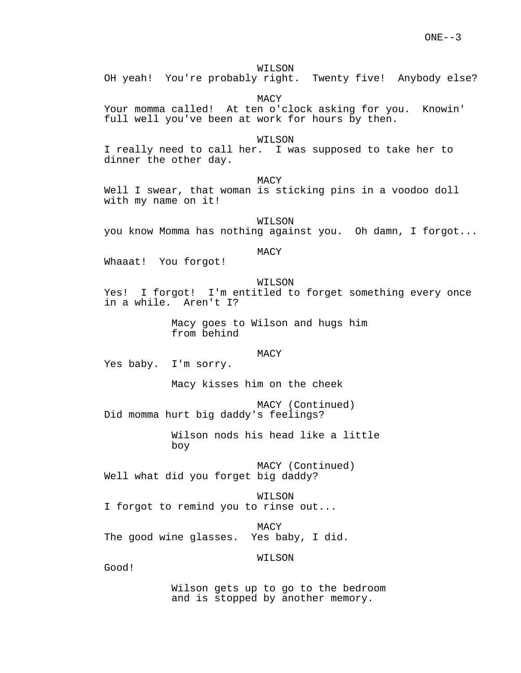#### WILSON

OH yeah! You're probably right. Twenty five! Anybody else?

MACY

Your momma called! At ten o'clock asking for you. Knowin' full well you've been at work for hours by then.

# WILSON

I really need to call her. I was supposed to take her to dinner the other day.

MACY

Well I swear, that woman is sticking pins in a voodoo doll with my name on it!

WILSON you know Momma has nothing against you. Oh damn, I forgot...

# MACY

Whaaat! You forgot!

#### WILSON

Yes! I forgot! I'm entitled to forget something every once in a while. Aren't I?

> Macy goes to Wilson and hugs him from behind

# MACY

Yes baby. I'm sorry.

Macy kisses him on the cheek

MACY (Continued) Did momma hurt big daddy's feelings?

> Wilson nods his head like a little boy

MACY (Continued) Well what did you forget big daddy?

WILSON I forgot to remind you to rinse out...

MACY

The good wine glasses. Yes baby, I did.

WILSON

Good!

Wilson gets up to go to the bedroom and is stopped by another memory.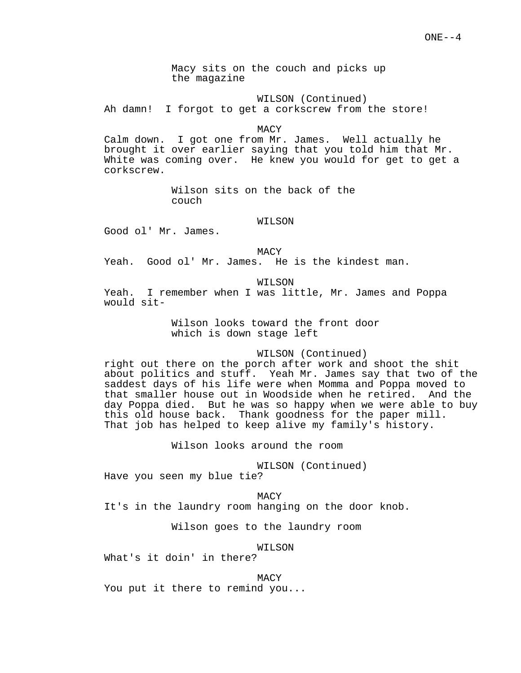Macy sits on the couch and picks up the magazine

WILSON (Continued)

Ah damn! I forgot to get a corkscrew from the store!

MACY

Calm down. I got one from Mr. James. Well actually he brought it over earlier saying that you told him that Mr. White was coming over. He knew you would for get to get a corkscrew.

> Wilson sits on the back of the couch

> > WILSON

Good ol' Mr. James.

MACY

Yeah. Good ol' Mr. James. He is the kindest man.

WILSON

Yeah. I remember when I was little, Mr. James and Poppa would sit-

> Wilson looks toward the front door which is down stage left

#### WILSON (Continued)

right out there on the porch after work and shoot the shit about politics and stuff. Yeah Mr. James say that two of the saddest days of his life were when Momma and Poppa moved to that smaller house out in Woodside when he retired. And the day Poppa died. But he was so happy when we were able to buy this old house back. Thank goodness for the paper mill. That job has helped to keep alive my family's history.

Wilson looks around the room

WILSON (Continued)

Have you seen my blue tie?

MACY It's in the laundry room hanging on the door knob.

Wilson goes to the laundry room

WILSON

What's it doin' in there?

MACY

You put it there to remind you...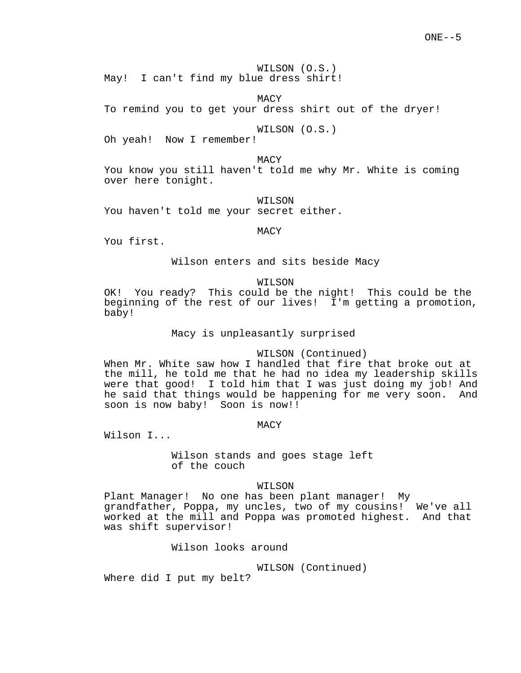WILSON (O.S.) May! I can't find my blue dress shirt!

MACY

To remind you to get your dress shirt out of the dryer!

WILSON (O.S.)

Oh yeah! Now I remember!

MACY

You know you still haven't told me why Mr. White is coming over here tonight.

WILSON

You haven't told me your secret either.

**MACY** 

You first.

Wilson enters and sits beside Macy

WILSON

OK! You ready? This could be the night! This could be the beginning of the rest of our lives! I'm getting a promotion, baby!

Macy is unpleasantly surprised

#### WILSON (Continued)

When Mr. White saw how I handled that fire that broke out at the mill, he told me that he had no idea my leadership skills were that good! I told him that I was just doing my job! And he said that things would be happening for me very soon. And soon is now baby! Soon is now!!

## MACY

Wilson I...

Wilson stands and goes stage left of the couch

# WILSON

Plant Manager! No one has been plant manager! My grandfather, Poppa, my uncles, two of my cousins! We've all worked at the mill and Poppa was promoted highest. And that was shift supervisor!

Wilson looks around

WILSON (Continued)

Where did I put my belt?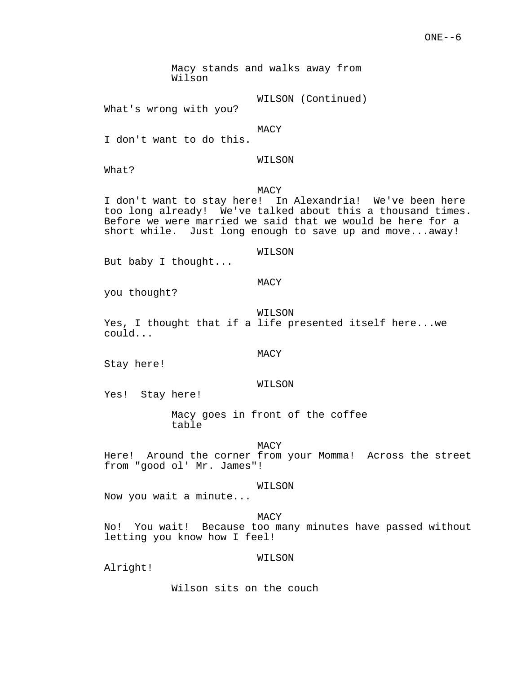Macy stands and walks away from Wilson

WILSON (Continued)

What's wrong with you?

MACY

I don't want to do this.

WILSON

What?

#### MACY

I don't want to stay here! In Alexandria! We've been here too long already! We've talked about this a thousand times. Before we were married we said that we would be here for a short while. Just long enough to save up and move...away!

WILSON

But baby I thought...

## MACY

you thought?

WILSON

Yes, I thought that if a life presented itself here...we could...

#### MACY

Stay here!

#### WILSON

Yes! Stay here!

Macy goes in front of the coffee table

#### MACY

Here! Around the corner from your Momma! Across the street from "good ol' Mr. James"!

## WILSON

Now you wait a minute...

MACY

No! You wait! Because too many minutes have passed without letting you know how I feel!

#### WILSON

Alright!

Wilson sits on the couch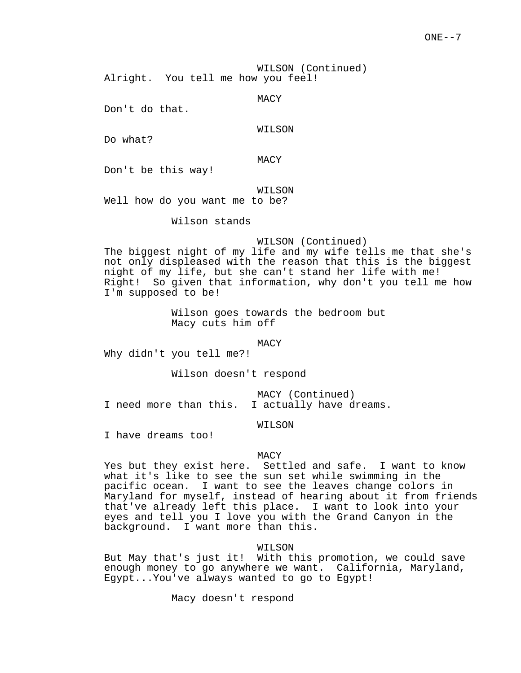WILSON (Continued) Alright. You tell me how you feel!

MACY

Don't do that.

## WILSON

Do what?

MACY

Don't be this way!

WILSON

Well how do you want me to be?

Wilson stands

#### WILSON (Continued)

The biggest night of my life and my wife tells me that she's not only displeased with the reason that this is the biggest night of my life, but she can't stand her life with me! Right! So given that information, why don't you tell me how I'm supposed to be!

> Wilson goes towards the bedroom but Macy cuts him off

> > MACY

Why didn't you tell me?!

Wilson doesn't respond

MACY (Continued) I need more than this. I actually have dreams.

WILSON

I have dreams too!

#### MACY

Yes but they exist here. Settled and safe. I want to know what it's like to see the sun set while swimming in the pacific ocean. I want to see the leaves change colors in Maryland for myself, instead of hearing about it from friends that've already left this place. I want to look into your eyes and tell you I love you with the Grand Canyon in the background. I want more than this.

WILSON

But May that's just it! With this promotion, we could save enough money to go anywhere we want. California, Maryland, Egypt...You've always wanted to go to Egypt!

Macy doesn't respond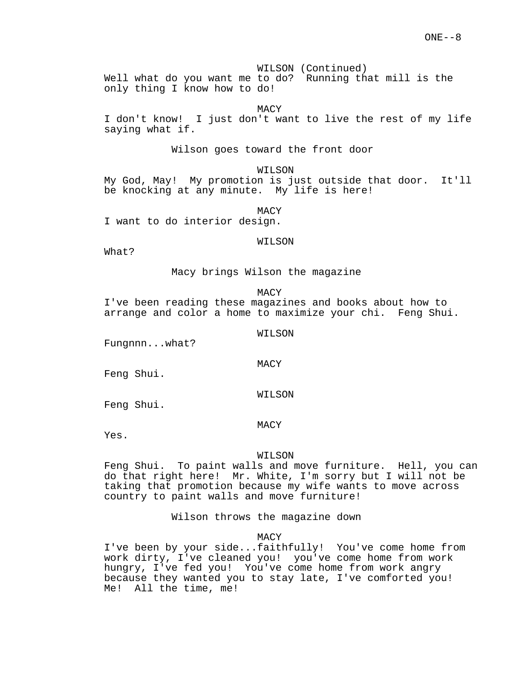WILSON (Continued)

Well what do you want me to do? Running that mill is the only thing I know how to do!

MACY

I don't know! I just don't want to live the rest of my life saying what if.

Wilson goes toward the front door

WILSON

My God, May! My promotion is just outside that door. It'll be knocking at any minute. My life is here!

MACY

I want to do interior design.

#### WILSON

What?

Macy brings Wilson the magazine

**MACY** 

I've been reading these magazines and books about how to arrange and color a home to maximize your chi. Feng Shui.

WILSON

Fungnnn...what?

Feng Shui.

WILSON

MACY

Feng Shui.

MACY

Yes.

#### WILSON

Feng Shui. To paint walls and move furniture. Hell, you can do that right here! Mr. White, I'm sorry but I will not be taking that promotion because my wife wants to move across country to paint walls and move furniture!

Wilson throws the magazine down

MACY

I've been by your side...faithfully! You've come home from work dirty, I've cleaned you! you've come home from work hungry, I've fed you! You've come home from work angry because they wanted you to stay late, I've comforted you! Me! All the time, me!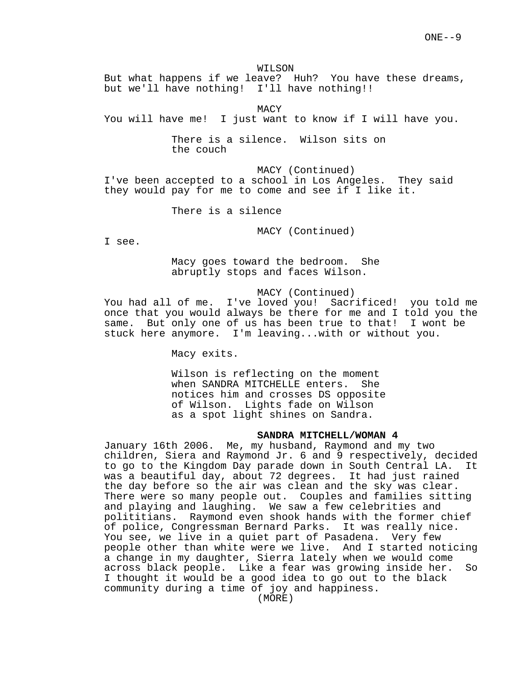WILSON

But what happens if we leave? Huh? You have these dreams, but we'll have nothing! I'll have nothing!!

MACY

You will have me! I just want to know if I will have you.

There is a silence. Wilson sits on the couch

MACY (Continued) I've been accepted to a school in Los Angeles. They said they would pay for me to come and see if I like it.

There is a silence

MACY (Continued)

I see.

Macy goes toward the bedroom. She abruptly stops and faces Wilson.

# MACY (Continued)

You had all of me. I've loved you! Sacrificed! you told me once that you would always be there for me and I told you the same. But only one of us has been true to that! I wont be stuck here anymore. I'm leaving...with or without you.

Macy exits.

Wilson is reflecting on the moment when SANDRA MITCHELLE enters. She notices him and crosses DS opposite of Wilson. Lights fade on Wilson as a spot light shines on Sandra.

# **SANDRA MITCHELL/WOMAN 4**

January 16th 2006. Me, my husband, Raymond and my two children, Siera and Raymond Jr. 6 and 9 respectively, decided to go to the Kingdom Day parade down in South Central LA. It was a beautiful day, about 72 degrees. It had just rained the day before so the air was clean and the sky was clear. There were so many people out. Couples and families sitting and playing and laughing. We saw a few celebrities and polititians. Raymond even shook hands with the former chief of police, Congressman Bernard Parks. It was really nice. You see, we live in a quiet part of Pasadena. Very few people other than white were we live. And I started noticing a change in my daughter, Sierra lately when we would come across black people. Like a fear was growing inside her. So I thought it would be a good idea to go out to the black community during a time of joy and happiness.